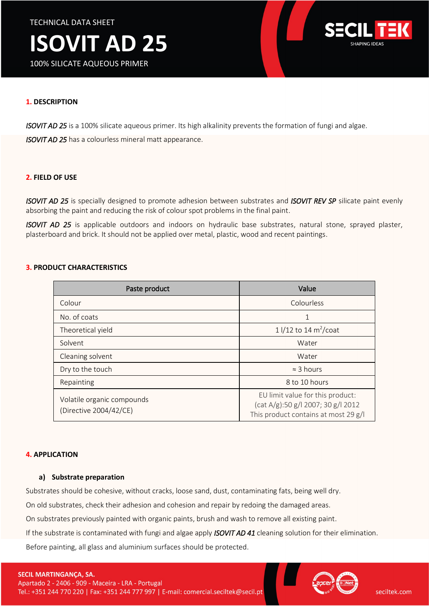TECHNICAL DATA SHEET



100% SILICATE AQUEOUS PRIMER



### **1. DESCRIPTION**

*ISOVIT AD 25* is a 100% silicate aqueous primer. Its high alkalinity prevents the formation of fungi and algae.

*ISOVIT AD 25* has a colourless mineral matt appearance.

#### **2. FIELD OF USE**

*ISOVIT AD 25* is specially designed to promote adhesion between substrates and *ISOVIT REV SP* silicate paint evenly absorbing the paint and reducing the risk of colour spot problems in the final paint.

*ISOVIT AD 25* is applicable outdoors and indoors on hydraulic base substrates, natural stone, sprayed plaster, plasterboard and brick. It should not be applied over metal, plastic, wood and recent paintings.

#### **3. PRODUCT CHARACTERISTICS**

| Paste product                                        | Value                                                                                                             |
|------------------------------------------------------|-------------------------------------------------------------------------------------------------------------------|
| Colour                                               | Colourless                                                                                                        |
| No. of coats                                         |                                                                                                                   |
| Theoretical yield                                    | 1 $1/12$ to 14 m <sup>2</sup> /coat                                                                               |
| Solvent                                              | Water                                                                                                             |
| Cleaning solvent                                     | Water                                                                                                             |
| Dry to the touch                                     | $\approx$ 3 hours                                                                                                 |
| Repainting                                           | 8 to 10 hours                                                                                                     |
| Volatile organic compounds<br>(Directive 2004/42/CE) | EU limit value for this product:<br>$(cat A/g):$ 50 g/l 2007; 30 g/l 2012<br>This product contains at most 29 g/l |

#### **4. APPLICATION**

#### **a) Substrate preparation**

Substrates should be cohesive, without cracks, loose sand, dust, contaminating fats, being well dry.

On old substrates, check their adhesion and cohesion and repair by redoing the damaged areas.

On substrates previously painted with organic paints, brush and wash to remove all existing paint.

If the substrate is contaminated with fungi and algae apply *ISOVIT AD 41* cleaning solution for their elimination.

Before painting, all glass and aluminium surfaces should be protected.

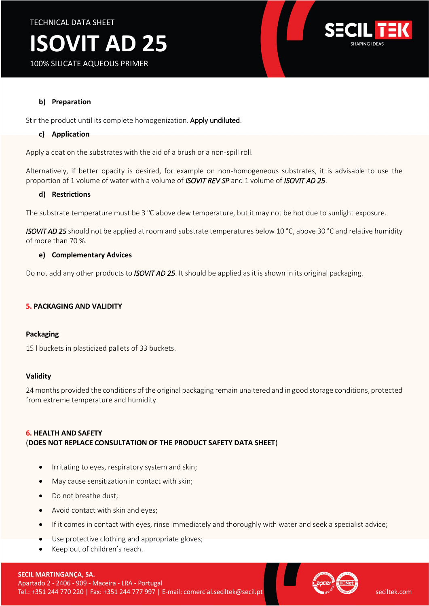

# **ISOVIT AD 25**

100% SILICATE AQUEOUS PRIMER

# **b) Preparation**

Stir the product until its complete homogenization. Apply undiluted.

# **c) Application**

Apply a coat on the substrates with the aid of a brush or a non-spill roll.

Alternatively, if better opacity is desired, for example on non-homogeneous substrates, it is advisable to use the proportion of 1 volume of water with a volume of *ISOVIT REV SP* and 1 volume of *ISOVIT AD 25*.

#### **d) Restrictions**

The substrate temperature must be  $3^{\circ}$ C above dew temperature, but it may not be hot due to sunlight exposure.

*ISOVIT AD 25* should not be applied at room and substrate temperatures below 10 °C, above 30 °C and relative humidity of more than 70 %.

#### **e) Complementary Advices**

Do not add any other products to *ISOVIT AD 25*. It should be applied as it is shown in its original packaging.

# **5. PACKAGING AND VALIDITY**

#### **Packaging**

15 l buckets in plasticized pallets of 33 buckets.

#### **Validity**

24 months provided the conditions of the original packaging remain unaltered and in good storage conditions, protected from extreme temperature and humidity.

# **6. HEALTH AND SAFETY** (**DOES NOT REPLACE CONSULTATION OF THE PRODUCT SAFETY DATA SHEET**)

- Irritating to eyes, respiratory system and skin;
- May cause sensitization in contact with skin;
- Do not breathe dust;
- Avoid contact with skin and eyes;
- If it comes in contact with eyes, rinse immediately and thoroughly with water and seek a specialist advice;
- Use protective clothing and appropriate gloves;
- Keep out of children's reach.

# SECIL MARTINGANÇA, SA.

Apartado 2 - 2406 - 909 - Maceira - LRA - Portugal Tel.: +351 244 770 220 | Fax: +351 244 777 997 | E-mail: comercial.seciltek@secil.pt